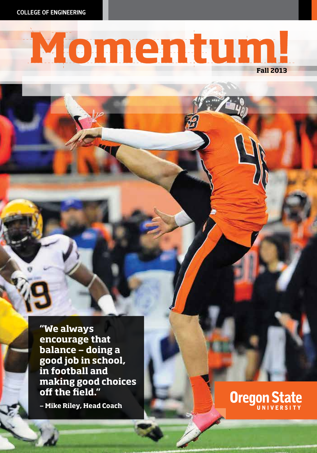COLLEGE OF ENGINEERING

# **Momentum!**

**"We always encourage that balance — doing a good job in school, in football and making good choices off the field."**

**— Mike Riley, Head Coach**

**Oregon State**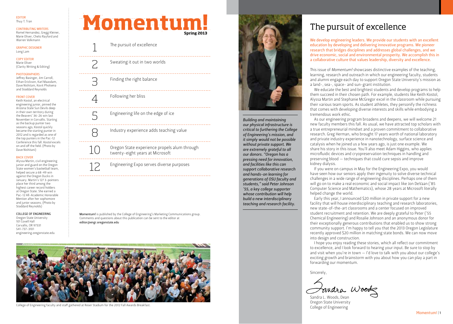#### EDITOR Thuy T. Tran

#### CONTRIBUTING WRITERS

Romel Hernandez, Gregg Kleiner, Marie Oliver, Chelsi Rayford and Warren Volkmann

GRAPHIC DESIGNER Long Lam

## COPY EDITOR

Marie Oliver (Clarity Writing & Editing)

#### PHOTOGRAPHERS

Jeffrey Basinger, Jim Carroll, Ethan Erickson, Karl Maasdam, Dave Nishitani, Kovit Pholsena and Stoddard Reynolds

#### FRONT COVER

Keith Kostol, an electrical engineering junior, pinned the Arizona State Sun Devils deep in their own territory during the Beavers' 36-26 win last November in Corvallis. Starting as the backup punter two seasons ago, Kostol quickly became the starting punter in 2012 and is regarded as one of the top punters in the Pac-12 Conference this fall. Kostol excels on and off the field. (Photo by Dave Nishitani)

#### BACK COVER

Alyssa Martin, civil engineering junior and guard on the Oregon State women's basketball team, helped secure a 68-49 win against the Oregon Ducks in January. Martin's 127 3-pointers place her third among the highest career record holders at Oregon State. She earned a Pac-12 All-Academic Honorable Mention after her sophomore and junior seasons. (Photo by Stoddard Reynolds)

#### COLLEGE OF ENGINEERING

Oregon State University 101 Covell Hall Corvallis, OR 97331 541-737-3101 engineering.oregonstate.edu Momentum **Spring 2013**

The pursuit of excellence

- Sweating it out in two worlds
- 3 Finding the right balance

Following her bliss

5 Engineering life on the edge of ice

4

. . . . . . . . . .

8

<u>. . . . . . . . . . . . .</u>

12

Industry experience adds teaching value

10 Oregon State experience propels alum through twenty-eight years at Microsoft

Engineering Expo serves diverse purposes

Momentum! is published by the College of Engineering's Marketing Communications group. Comments and questions about this publication can be sent to the editor at editor@engr.oregonstate.edu



College of Engineering faculty and staff gathered at Reser Stadium for the 2012 Fall Awards Breakfast.



*Building and maintaining our physical infrastructure is critical to furthering the College of Engineering's mission, and it simply would not be possible without private support. We are extremely grateful to all our donors. "Oregon has a pressing need for innovation, and facilities like this can support collaborative research and hands-on learning for generations of OSU faculty and students," said Peter Johnson '55, a key college supporter whose contribution will help build a new interdisciplinary teaching and research facility.*

# The pursuit of excellence

We develop engineering leaders. We provide our students with an excellent education by developing and delivering innovative programs. We pioneer research that bridges disciplines and addresses global challenges, and we drive economic, social and environmental prosperity. We accomplish this in a collaborative culture that values leadership, diversity and excellence.

This issue of *Momentum!* showcases distinctive examples of the teaching, learning, research and outreach in which our engineering faculty, students and alumni engage each day to support Oregon State University's mission as a land-, sea-, space- and sun-grant institution.

We educate the best and brightest students and develop programs to help them succeed in their chosen path. For example, students like Keith Kostol, Alyssa Martin and Stephanie McGregor excel in the classroom while pursuing their various team sports. As student athletes, they personify the richness that comes with developing diverse interests and skills while embodying a tremendous work ethic.

As our engineering program broadens and deepens, we will welcome 21 new faculty members this fall. As usual, we have attracted top scholars with a true entrepreneurial mindset and a proven commitment to collaborative research. Greg Herman, who brought 17 years worth of national laboratory and private industry experience in nanotechnology, surface science and catalysis when he joined us a few years ago, is just one example. We share his story in this issue. You'll also meet Adam Higgins, who applies microfluidic devices and cryopreservation techniques in handling and preserving blood — techniques that could cure sepsis and improve kidney dialysis.

If you were on campus in May for the Engineering Expo, you would have seen how our seniors apply their ingenuity to solve diverse technical challenges in a wide range of engineering disciplines. Perhaps one of them will go on to make a real economic and social impact like Jon DeVaan ('85 Computer Science and Mathematics), whose 28 years at Microsoft literally helped change the world.

Early this year, I announced \$20 million in private support for a new facility that will house interdisciplinary teaching and research laboratories, new state-of-the-art classrooms and a center focused on improved student recruitment and retention. We are deeply grateful to Peter ('55 Chemical Engineering) and Rosalie Johnson and an anonymous donor for their exceptionally generous contributions that enabled us to show strong community support. I'm happy to tell you that the 2013 Oregon Legislature recently approved \$20 million in matching state bonds. We can now move into design and construction.

I hope you enjoy reading these stories, which all reflect our commitment to excellence, and I look forward to hearing your input. Be sure to stop by and visit when you're in town — I'd love to talk with you about our college's exciting growth and brainstorm with you about how you can play a part in forwarding our momentum.

Sincerely,

fandra Woods

Sandra L. Woods, Dean Oregon State University College of Engineering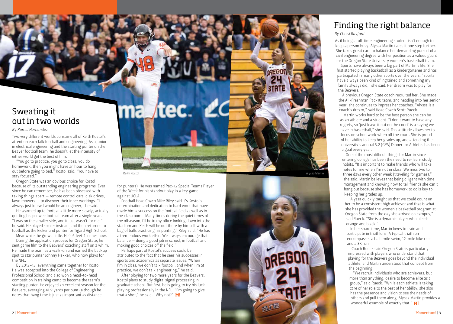# Finding the right balance

### *By Chelsi Rayford*

As if being a full-time engineering student isn't enough to keep a person busy, Alyssa Martin takes it one step further. She takes great care to balance her demanding pursuit of a civil engineering degree with her position as a valued guard for the Oregon State University women's basketball team.

Sports have always been a big part of Martin's life. She first started playing basketball as a kindergartener and has participated in many other sports over the years. "Sports have always been kind of ingrained and something my family always did," she said. Her dream was to play for the Beavers.

A previous Oregon State coach recruited her. She made the All-Freshman Pac-10 team, and heading into her senior year, she continues to impress her coaches. "Alyssa is a coach's dream," said Head Coach Scott Rueck.

Martin works hard to be the best person she can be as an athlete and a student. "I don't want to have any regrets, so 'just leave it out on the court' is a saying we have in basketball," she said. This attitude allows her to focus on schoolwork when off the court. She is proud of her ability to keep her grades up, and attending the university's annual 3.2 (GPA) Dinner for Athletes has been a goal every year.

One of the most difficult things for Martin since entering college has been the need to re-learn study habits. "It's important to make friends who will take notes for me when I'm not in class. We miss two to three days every other week (traveling for games)," she said. Martin believes that being diligent with time management and knowing how to tell friends she can't hang out because she has homework to do is key to keeping her grades up.

"Alyssa quickly taught us that we could count on her to be a consistent high achiever and that is what she has provided the women's basketball program at Oregon State from the day she arrived on campus," said Rueck. "She is a dynamic player who bleeds orange and black."

In her spare time, Martin loves to train and participate in triathlons. A typical triathlon encompasses a half-mile swim, 12-mile bike ride, and a 3K run.

Coach Rueck said Oregon State is particularly impressed with players who understand that playing for the Beavers goes beyond the individual athlete, and Martin understood that concept from the beginning.

"We recruit individuals who are achievers, but more than anything, desire to become elite as a group," said Rueck. "While each athlete is taking care of her role to the best of her ability, she also has the presence and vision to see the needs of others and pull them along. Alyssa Martin provides a wonderful example of exactly that."  $M!$ 

# Sweating it out in two worlds

#### *By Romel Hernandez*

Two very different worlds consume all of Keith Kostol's attention each fall: football and engineering. As a junior in electrical engineering and the starting punter on the Beaver football team, he doesn't let the intensity of either world get the best of him.

"You go to practice, you go to class, you do homework, then you might have an hour to hang out before going to bed," Kostol said. "You have to stay focused."

Oregon State was an obvious choice for Kostol because of its outstanding engineering programs. Ever since he can remember, he has been obsessed with taking things apart — remote control cars, disk drives, lawn mowers — to discover their inner workings. "I always just knew I would be an engineer," he said.

He warmed up to football a little more slowly, actually quitting his peewee football team after a single year. "I was on the smaller side, and it just wasn't for me," he said. He played soccer instead, and then returned to football as the kicker and punter for Tigard High School.

Meanwhile, he grew a little. He's 6 feet 4 inches now. During the application process for Oregon State, he sent game film to the Beavers' coaching staff on a whim. He made the team as a walk-on and earned the backup spot to star punter Johnny Hekker, who now plays for the NFL.

By 2012–13, everything came together for Kostol. He was accepted into the College of Engineering Professional School and also won a head-to-head competition in training camp to become the team's starting punter. He enjoyed an excellent season for the Beavers, averaging 41.9 yards per punt (although he notes that hang time is just as important as distance

Keith Kostol Alyssa Martin

ma

for punters). He was named Pac-12 Special Teams Player of the Week for his standout play in a key game against UCLA.

**Atec** 

Football Head Coach Mike Riley said it's Kostol's determination and dedication to hard work that have made him a success on the football field as well as in the classroom. "Many times during the quiet times of the offseason, I'll be in my office looking down into the stadium and Keith will be out there by himself with a bag of balls practicing his punting," Riley said. "He has a tremendous work ethic. We always encourage that balance — doing a good job in school, in football and making good choices off the field."

Perhaps part of Kostol's success could be attributed to the fact that he sees his successes in sports and academics as separate issues. "When I'm in class, we don't talk football, and when I'm at practice, we don't talk engineering," he said.

After playing for two more years for the Beavers, Kostol plans to study digital signal processing in graduate school. But first, he is going to try his luck playing professionally in the NFL. "I'm going to give that a shot," he said. "Why not?" M!

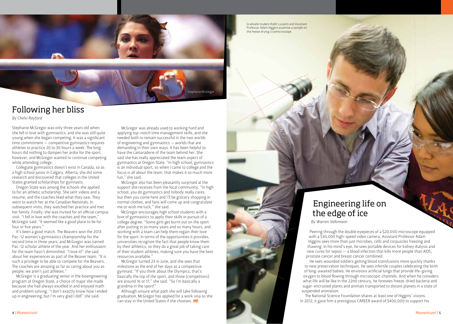

# Following her bliss

*By Chelsi Rayford*

Stephanie McGregor was only three years old when she fell in love with gymnastics, and she was still quite young when she began competing. It was a significant time commitment — competitive gymnastics requires athletes to practice 20 to 30 hours a week. The long hours did nothing to dampen her ardor for the sport, however, and McGregor wanted to continue competing while attending college.

Collegiate gymnastics doesn't exist in Canada, so as a high school junior in Calgary, Alberta, she did some research and discovered that colleges in the United States granted scholarships for gymnasts.

Oregon State was among the schools she applied to for an athletic scholarship. She sent videos and a resume, and the coaches liked what they saw. They went to watch her at the Canadian Nationals. In subsequent visits, they watched her practice and met her family. Finally, she was invited for an official campus visit. "I fell in love with the coaches and the team," McGregor said. "It seemed like a good place to be for four or five years."

It's been a good match. The Beavers won the 2013 Pac-12 women's gymnastics championship for the second time in three years, and McGregor was named Pac-12 scholar athlete of the year. And her enthusiasm for the team hasn't diminished. "I love it!" she said about her experiences as part of the Beaver team. "It is such a privilege to be able to compete for the Beavers. The coaches are amazing as far as caring about you as people; we aren't just athletes."

McGregor is a graduating senior in the bioengineering program at Oregon State, a choice of major she made because she had always excelled in and enjoyed math and problem solving. "I don't exactly know how I ended up in engineering, but I'm very glad I did!" she said.

McGregor was already used to working hard and applying top-notch time management skills, and she needed both to remain successful in the two worlds of engineering and gymnastics — worlds that are demanding in their own ways. It has been helpful to have the camaraderie of the team behind her. She said she has really appreciated the team aspect of gymnastics at Oregon State. "In high school, gymnastics is an individual sport, so when I came to college and the focus is all about the team, that makes it so much more fun," she said.

McGregor also has been pleasantly surprised at the support she receives from the local community. "In high school, you do gymnastics and nobody really cares, but then you come here and I'll be grocery shopping in normal clothes, and fans will come up and congratulate me or wish me luck," she said.

McGregor encourages high school students with a love of gymnastics to apply their skills in pursuit of a college degree. "Some girls get burnt out on the sport after putting in so many years and so many hours, and working with a team can help them regain their love for the sport. In terms of the opportunities it provides, universities recognize the fact that people know them by their athletics, so they do a great job of taking care of their student athletes, making sure you have the best resources available."

McGregor turned 23 in June, and she sees that milestone as the end of her days as a competitive gymnast. "If you think about the Olympics, that's basically the top of the sport, and those (competitors) are around 16 or 17," she said. "So I'm basically a grandma in the sport!"

Although unsure what path she will take following graduation, McGregor has applied for a work visa so she can stay in the United States if she chooses. M!

Graduate student Ratih Lusianti and Assistant Professor Adam Higgins examine a sample on the freeze drying cryomicroscope.

# Engineering life on the edge of ice

*By Warren Volkmann*

Peering through the double eyepieces of a \$20,000 microscope equipped with a \$30,000 high-speed video camera, Assistant Professor Adam Higgins sees more than just microbes, cells and corpuscles freezing and thawing. In his mind's eye, he sees portable devices for kidney dialysis and new cures for sepsis — a blood infection that kills more people than AIDS, prostate cancer and breast cancer combined.

He sees wounded soldiers getting blood transfusions more quickly thanks to new preservation techniques. He sees infertile couples celebrating the birth of long-awaited babies. He envisions artificial lungs that provide life-giving oxygen to blood flowing through microscopic channels. And when he considers what life will be like in the 22nd century, he foresees freeze-dried bacteria and sugar-encrusted plants and animals transported to distant planets in a state of suspended animation.

The National Science Foundation shares at least one of Higgins' visions. In 2012, it gave him a prestigious CAREER award of \$400,000 to support his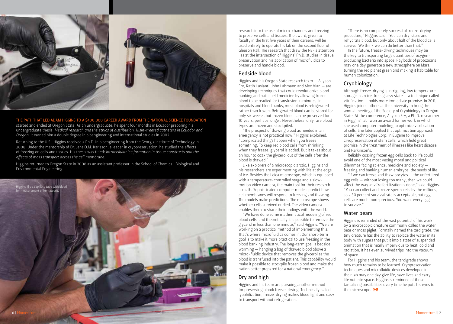

THE PATH THAT LED ADAM HIGGINS TO A \$400,000 CAREER AWARD FROM THE NATIONAL SCIENCE FOUNDATION

started and ended at Oregon State. As an undergraduate, he spent four months in Ecuador preparing his undergraduate thesis: *Medical research and the ethics of distribution: Nisin-treated catheters in Ecuador and Oregon*. It earned him a double degree in bioengineering and international studies in 2002.

Returning to the U.S., Higgins received a Ph.D. in bioengineering from the Georgia Institute of Technology in 2008. Under the mentorship of Dr. Jens O.M. Karlsson, a leader in cryopreservation, he studied the effects of freezing on cells and tissues. His thesis was titled: *Intracellular ice formation in tissue constructs and the effects of mass transport across the cell membrane*.

Higgins returned to Oregon State in 2008 as an assistant professor in the School of Chemical, Biological and Environmental Engineering.



research into the use of micro-channels and freezing to preserve cells and tissues. The award, given to faculty in the first five years of their careers, will be used entirely to operate his lab on the second floor of Gleeson Hall. The research that drew the NSF's attention lies at the intersection of Higgins' Ph.D. studies in tissue preservation and his application of microfluidics to preserve and handle blood.

## Bedside blood

Higgins and his Oregon State research team — Allyson Fry, Ratih Lusianti, John Lahmann and Alex Vian — are developing techniques that could revolutionize blood banking and battlefield medicine by allowing frozen blood to be readied for transfusion in minutes. In hospitals and blood banks, most blood is refrigerated rather than frozen. Refrigerated blood can be stored for only six weeks, but frozen blood can be preserved for 10 years, perhaps longer. Nevertheless, only rare blood types are frozen and stockpiled.

"The prospect of thawing blood as needed in an emergency is not practical now," Higgins explained. "Complicated things happen when you freeze something. To keep red blood cells from shrinking when they freeze, glycerol is added. But it takes about an hour to coax the glycerol out of the cells after the blood is thawed."

Like explorers of a microscopic arctic, Higgins and his researchers are experimenting with life at the edge of ice. Besides the Leica microscope, which is equipped with a temperature-controlled stage and a slowmotion video camera, the main tool for their research is math. Sophisticated computer models predict how cell membranes will respond to freezing and thawing. The models make predictions. The microscope shows whether cells survived or died. The video camera enables them to share their findings with the world.

"We have done some mathematical modeling of red blood cells, and theoretically it is possible to remove the glycerol in less than one minute," said Higgins. "We are working on a practical method of implementing this. That's where microfluidics comes in. Our short-term goal is to make it more practical to use freezing in the blood banking industry. The long-term goal is bedside warming — hanging a bag of thawed blood above a micro-fluidic device that removes the glycerol as the blood is transfused into the patient. This capability would make it possible to stockpile frozen blood and make the nation better prepared for a national emergency."

## Dry and high

Higgins and his team are pursuing another method for preserving blood: freeze-drying. Technically called lyophilization, freeze-drying makes blood light and easy to transport without refrigeration.

"There is no completely successful freeze-drying procedure," Higgins said. "You can dry, store and rehydrate blood, but only about half of the blood cells survive. We think we can do better than that."

In the future, freeze-drying techniques may be the key to transporting large quantities of oxygenproducing bacteria into space. Payloads of protozoans may one day generate a new atmosphere on Mars, turning the red planet green and making it habitable for human colonization.

## Cryobiology

Although freeze-drying is intriguing, low temperature storage in an ice-free, glassy state — a technique called vitrification — holds more immediate promise. In 2011, Higgins joined others at the university to bring the annual meeting of the Society of Cryobiology to Oregon State. At the conference, Allyson Fry, a Ph.D. researcher in Higgins' lab, won an award for her work in which she used computer modeling to optimize vitrification of cells. She later applied that optimization approach at Life Technologies Corp. in Eugene to improve cryopreservation of stem cells, which hold great promise in the treatment of illnesses like heart disease and Parkinson's.

Reliably coaxing frozen egg cells back to life could avoid one of the most vexing moral and political dilemmas facing science, medicine and society freezing and banking human embryos, the seeds of life.

"If we can freeze and thaw oocytes — the unfertilized egg cells — without losing too many, then we could affect the way *in vitro* fertilization is done," said Higgins. "You can collect and freeze sperm cells by the millions, so a 50 percent survival rate is acceptable, but egg cells are much more precious. You want every egg to survive."

## Water bears

Higgins is reminded of the vast potential of his work by a microscopic creature commonly called the water bear or moss piglet. Formally named the tardigrade, the tiny creature has the ability to replace the water in its body with sugars that put it into a state of suspended animation that is nearly impervious to heat, cold and radiation. It has even survived trips into the vacuum of space.

For Higgins and his team, the tardigrade shows how much remains to be learned. Cryopreservation techniques and microfluidic devices developed in their lab may one day give life, save lives and carry life out into space. Higgins is reminded of those tantalizing possibilities every time he puts his eyes to the microscope. M!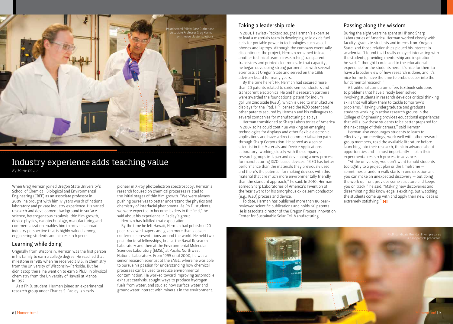

# Industry experience adds teaching value

*By Marie Oliver*

When Greg Herman joined Oregon State University's School of Chemical, Biological and Environmental Engineering (CBEE) as an associate professor in 2009, he brought with him 17 years worth of national laboratory and private industry experience. His varied research and development background in surface science, heterogeneous catalysis, thin film growth, device physics, nanotechnology, manufacturing and commercialization enables him to provide a broad industry perspective that is highly valued among engineering students and his research peers.

## Learning while doing

Originally from Wisconsin, Herman was the first person in his family to earn a college degree. He reached that milestone in 1985 when he received a B.S. in chemistry from the University of Wisconsin–Parkside. But he didn't stop there; he went on to earn a Ph.D. in physical chemistry from the University of Hawaii at Manoa in 1992.

As a Ph.D. student, Herman joined an experimental research group under Charles S. Fadley, an early

pioneer in X-ray photoelectron spectroscopy. Herman's research focused on chemical processes related to the initial stages of thin film growth. "We were always pushing ourselves to better understand the physics and chemistry of interfacial phenomena. As Ph.D. students, we were expected to become leaders in the field," he said about his experience in Fadley's group. Herman has fulfilled that expectation.

By the time he left Hawaii, Herman had published 20 peer-reviewed papers and given more than a dozen conference presentations around the world. He held two post-doctoral fellowships, first at the Naval Research Laboratory and then at the Environmental Molecular Sciences Laboratory (EMSL) at Pacific Northwest National Laboratory. From 1995 until 2000, he was a senior research scientist at the EMSL, where he was able to pursue his passion for understanding how chemical processes can be used to reduce environmental contamination. He worked toward improving automobile exhaust catalysis, sought ways to produce hydrogen fuels from water, and studied how surface water and groundwater interact with minerals in the environment.

## Taking a leadership role

In 2001, Hewlett-Packard sought Herman's expertise to lead a materials team in developing solid oxide fuel cells for portable power in technologies such as cell phones and laptops. Although the company eventually discontinued the project, Herman remained to lead another technical team in researching transparent transistors and printed electronics. In that capacity, he began developing strong partnerships with several scientists at Oregon State and served on the CBEE advisory board for many years.

By the time he left HP, Herman had secured more than 20 patents related to oxide semiconductors and transparent electronics. He and his research partners were awarded the foundational patent for indium gallium zinc oxide (IGZO), which is used to manufacture displays for the iPad. HP licensed the IGZO patent and other patents secured by Herman and his colleagues to several companies for manufacturing displays.

Herman transitioned to Sharp Laboratories of America in 2007 so he could continue working on emerging technologies for displays and other flexible electronic applications and have a direct commercialization path through Sharp Corporation. He served as a senior scientist in the Materials and Device Applications Laboratory, working closely with the company's research groups in Japan and developing a new process for manufacturing IGZO-based devices. "IGZO has better performance than the materials they previously used, and there's the potential for making devices with this material that are much more environmentally friendly than the standard approach," he said. In 2010, Herman earned Sharp Laboratories of America's Invention of the Year award for his amorphous oxide semiconductor (e.g., IGZO) process and device.

To date, Herman has published more than 80 peerreviewed scientific publications and holds 60 patents. He is associate director of the Oregon Process Innovation Center for Sustainable Solar Cell Manufacturing.

## Passing along the wisdom

During the eight years he spent at HP and Sharp Laboratories of America, Herman worked closely with faculty, graduate students and interns from Oregon State, and those relationships piqued his interest in academia. "I found that I really enjoyed interacting with the students, providing mentorship and inspiration," he said. "I thought I could add to the educational experience for the students here. It's nice for them to have a broader view of how research is done, and it's nice for me to have the time to probe deeper into the fundamental research."

A traditional curriculum offers textbook solutions to problems that have already been solved. Involving students in research develops critical thinking skills that will allow them to tackle tomorrow's problems. "Having undergraduate and graduate students working in active research groups in the College of Engineering provides educational experiences that will allow these students to be better prepared for the next stage of their careers," said Herman.

Herman also encourages students to learn to effectively run meetings, work well with other research group members, read the available literature before launching into their research, think in advance about opportunities and  $-$  most importantly  $-$  plan their experimental research process in advance.

"At the university, you don't want to hold students too tightly to a project plan or the timeframe sometimes a random walk starts in one direction and you can make an unexpected discovery — but doing the work up front provides some structure and keeps you on track," he said. "Making new discoveries and disseminating this knowledge is exciting, but watching the students come up with and apply their new ideas is extremely satisfying." M!

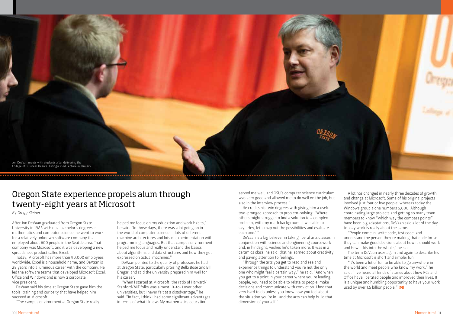

# Oregon State experience propels alum through twenty-eight years at Microsoft

*By Gregg Kleiner*

After Jon DeVaan graduated from Oregon State University in 1985 with dual bachelor's degrees in mathematics and computer science, he went to work for a relatively unknown software company that employed about 600 people in the Seattle area. That company was Microsoft, and it was developing a new spreadsheet product called Excel.

Today, Microsoft has more than 90,000 employees worldwide, Excel is a household name, and DeVaan is 28 years into a luminous career with the company. He led the software teams that developed Microsoft Excel, Office and Windows and is now a corporate vice president.

DeVaan said his time at Oregon State gave him the tools, training and curiosity that have helped him succeed at Microsoft.

"The campus environment at Oregon State really

helped me focus on my education and work habits," he said. "In those days, there was a lot going on in the world of computer science — lots of different machine architectures and lots of experimentation with programming languages. But that campus environment helped me focus and really understand the basics about algorithms and data structures and how they got expressed on actual machines."

DeVaan pointed to the quality of professors he had at Oregon State, particularly praising Bella Bose and Bill Bregar, and said the university prepared him well for his career.

"When I started at Microsoft, the ratio of Harvard/ Stanford/MIT folks was almost 10-to-1 over other universities, but I never felt at a disadvantage," he said. "In fact, I think I had some significant advantages in terms of what I knew. My mathematics education

served me well, and OSU's computer science curriculum was very good and allowed me to do well on the job, but also in the interview process."

He credits his twin degrees with giving him a useful, two-pronged approach to problem-solving: "Where others might struggle to find a solution to a complex problem, with my math background, I was able to say, 'Hey, let's map out the possibilities and evaluate each one.' "

DeVaan is a big believer in taking liberal arts classes in conjunction with science and engineering coursework and, in hindsight, wishes he'd taken more. It was in a ceramics class, he said, that he learned about creativity and paying attention to feelings.

"Through the arts you get to read and see and experience things to understand you're not the only one who might feel a certain way," he said. "And when you get to a point in your career where you're leading people, you need to be able to relate to people, make decisions and communicate with conviction. I find that very hard to do unless you know how you feel about the situation you're in…and the arts can help build that dimension of yourself."

A lot has changed in nearly three decades of growth and change at Microsoft. Some of his original projects involved just four or five people, whereas today the Windows group alone numbers 5,000. Although coordinating large projects and getting so many team members to know "which way the compass points" have been big adaptations, DeVaan said a lot of the dayto-day work is really about the same.

"People come in, write code, test code, and understand the person they're making that code for so they can make good decisions about how it should work and how it fits into the whole," he said.

The term DeVaan uses again and again to describe his time at Microsoft is short and simple: fun.

"It's been a lot of fun to be able to go anywhere in the world and meet people who know my work," he said. "I've heard all kinds of stories about how PCs and Office have liberated people and improved their lives. It is a unique and humbling opportunity to have your work used by over 1.5 billion people." M!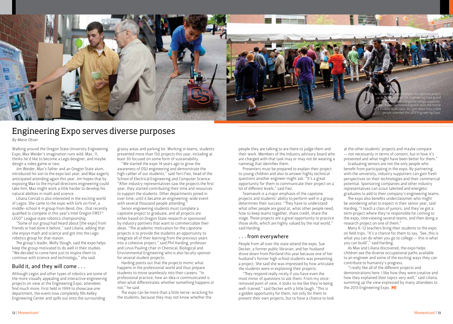

# Engineering Expo serves diverse purposes

*By Marie Oliver*

Walking around the Oregon State University Engineering Expo, Max Weider's imagination runs wild. Max, 11, thinks he'd like to become a Lego designer, and maybe design a video game or two.

Jim Weider, Max's father and an Oregon State alum, introduced his son to the expo last year, and Max eagerly anticipated attending again this year. Jim hopes that by exposing Max to the myriad directions engineering could take him, Max might work a little harder to develop his natural abilities in math and science.

Liliana Conrad is also interested in the exciting world of Legos. She came to the expo with Girls on Fire!, a middle-school 4-H group from Bend, Ore., that recently qualified to compete in this year's Intel Oregon FIRST® LEGO® League state robotics championship.

"Some of our group had heard about [the expo] from friends or had done it before," said Liliana, adding that she enjoys math and science and got into the Lego robotics group for that reason.

The group's leader, Molly Slough, said the expo helps keep the group motivated to do well in their studies. "We decided to come here just to inspire them to continue with science and technology," she said.

## Build it, and they will come . . .

Although Legos and other types of robotics are some of the more visually appealing and interactive engineering projects on view at the Engineering Expo, attendees find much more. First held in 1999 to showcase one department, the event now completely fills Kelley Engineering Center and spills out onto the surrounding

grassy areas and parking lot. Working in teams, students presented more than 150 projects this year, including at least 30 focused on some form of sustainability.

"We started the expo 14 years ago to grow the awareness of OSU engineering and demonstrate the high caliber of our students," said Terri Fiez, head of the School of Electrical Engineering and Computer Science. "After industry representatives saw the projects the first year, they started contributing their time and resources to support the students. Other departments joined in over time, until it became an engineering-wide event with several thousand people attending.

Senior engineering students must complete a capstone project to graduate, and all projects are either based on Oregon State research or sponsored by industry partners that want to commercialize their ideas. "The academic motivation for the capstone projects is to provide the students an opportunity to integrate all of their learning from the previous years into a cohesive project," said Phil Harding, professor and Linus Pauling chair in Chemical, Biological and Environmental Engineering who is also faculty sponsor for several student projects.

Harding points out that the projects mimic what happens in the professional world and thus prepare students to move seamlessly into their careers. "In professional practice, how an idea is communicated is often what differentiates whether something happens or not," he said.

The expo can be more than a little nerve-wracking for the students, because they may not know whether the

people they are talking to are there to judge them and their work. Members of the industry advisory board who are charged with that task may or may not be wearing a nametag that identifies them.

Presenters must be prepared to explain their project to young children and also to answer highly technical questions another engineer might ask. "It's a great opportunity for them to communicate their project on a lot of different levels," said Fiez.

Teamwork is a major emphasis of the capstone projects and students' ability to perform well in a group determines their success. "They have to understand what other people are good at, what other people need, how to keep teams together, share credit, share the stage. These projects are a great opportunity to practice those skills, which are highly valued by the real world," said Harding.

### . . . from everywhere

People from all over the state attend the expo. Sue Decker, a former public librarian, and her husband drove down from Portland this year because one of her husband's former high school students was presenting a project. She said she was impressed by how articulate the students were in explaining their projects.

"They respond really nicely if you have even the most minor of questions to ask them. From my onceremoved point of view, it looks to me like they're being well-trained," said Decker with a little laugh. "This is a golden opportunity for them, not only for them to present their own projects, but to have a chance to look

at the other students' projects and maybe compare — not necessarily in terms of content, but in how it's presented and what might have been better for them."

Graduating seniors are not the only people who benefit from participating in the expo. By partnering with the university, industry supporters can gain fresh perspectives on their technologies and their commercial potential. Sponsoring companies and other industry representatives can scout talented and energetic graduates to add to their company's engineering teams.

The expo also benefits underclassmen who might be wondering what to expect in their senior year, said Harding. "I teach a class of juniors, and they've got a term project where they're responsible for coming to the expo, interviewing several teams, and then doing a research project on one of them."

Many K-12 teachers bring their students to the expo on field trips. "It's a chance for them to say, 'See, this is what you can do when you go to college — this is what you can build'," said Harding.

As Max and Liliana discovered, the expo helps children see the diverse occupational paths available to an engineer and some of the exciting ways they can contribute to humanity's progress.

"I really like all of the different projects and demonstrations here. I like how they were creative and how they explained their topics very well," said Liliana, summing up the view expressed by many attendees to the 2013 Engineering Expo. M!